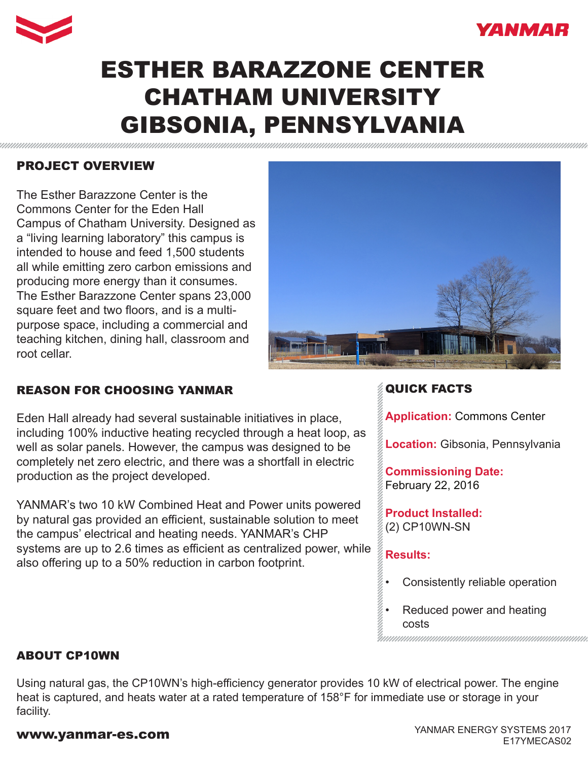



# ESTHER BARAZZONE CENTER CHATHAM UNIVERSITY GIBSONIA, PENNSYLVANIA

# PROJECT OVERVIEW

The Esther Barazzone Center is the Commons Center for the Eden Hall Campus of Chatham University. Designed as a "living learning laboratory" this campus is intended to house and feed 1,500 students all while emitting zero carbon emissions and producing more energy than it consumes. The Esther Barazzone Center spans 23,000 square feet and two floors, and is a multipurpose space, including a commercial and teaching kitchen, dining hall, classroom and root cellar.



### REASON FOR CHOOSING YANMAR

Eden Hall already had several sustainable initiatives in place, including 100% inductive heating recycled through a heat loop, as well as solar panels. However, the campus was designed to be completely net zero electric, and there was a shortfall in electric production as the project developed.

YANMAR's two 10 kW Combined Heat and Power units powered by natural gas provided an efficient, sustainable solution to meet the campus' electrical and heating needs. YANMAR's CHP systems are up to 2.6 times as efficient as centralized power, while also offering up to a 50% reduction in carbon footprint.

# QUICK FACTS

**Application:** Commons Center

**Location:** Gibsonia, Pennsylvania

**Commissioning Date:**  February 22, 2016

**Product Installed:** (2) CP10WN-SN

### **Results:**

- Consistently reliable operation
- Reduced power and heating costs

#### ABOUT CP10WN

Using natural gas, the CP10WN's high-efficiency generator provides 10 kW of electrical power. The engine heat is captured, and heats water at a rated temperature of 158°F for immediate use or storage in your facility.